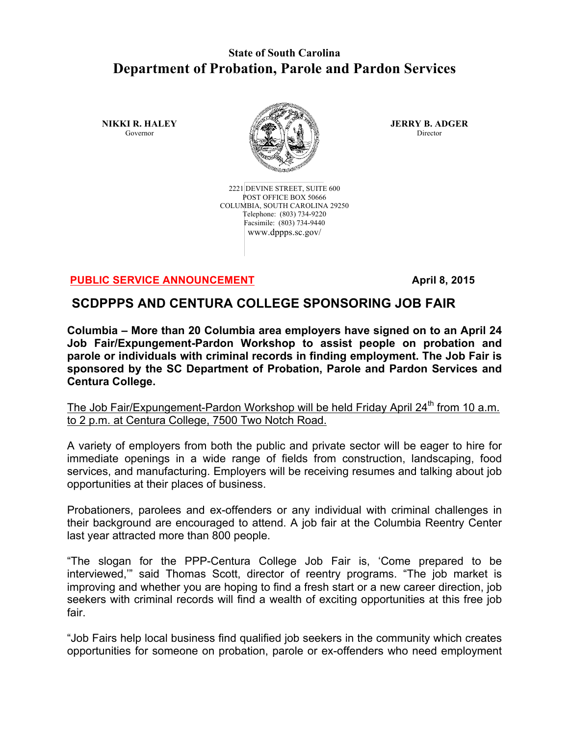## **State of South Carolina Department of Probation, Parole and Pardon Services**

**NIKKI R. HALEY** Governor



2221 DEVINE STREET, SUITE 600 POST OFFICE BOX 50666 COLUMBIA, SOUTH CAROLINA 29250 Telephone: (803) 734-9220 Facsimile: (803) 734-9440 www.dppps.sc.gov/

**JERRY B. ADGER** Director

## **PUBLIC SERVICE ANNOUNCEMENT April 8, 2015**

## **SCDPPPS AND CENTURA COLLEGE SPONSORING JOB FAIR**

**Columbia – More than 20 Columbia area employers have signed on to an April 24 Job Fair/Expungement-Pardon Workshop to assist people on probation and parole or individuals with criminal records in finding employment. The Job Fair is sponsored by the SC Department of Probation, Parole and Pardon Services and Centura College.**

The Job Fair/Expungement-Pardon Workshop will be held Friday April 24<sup>th</sup> from 10 a.m. to 2 p.m. at Centura College, 7500 Two Notch Road.

A variety of employers from both the public and private sector will be eager to hire for immediate openings in a wide range of fields from construction, landscaping, food services, and manufacturing. Employers will be receiving resumes and talking about job opportunities at their places of business.

Probationers, parolees and ex-offenders or any individual with criminal challenges in their background are encouraged to attend. A job fair at the Columbia Reentry Center last year attracted more than 800 people.

"The slogan for the PPP-Centura College Job Fair is, 'Come prepared to be interviewed,'" said Thomas Scott, director of reentry programs. "The job market is improving and whether you are hoping to find a fresh start or a new career direction, job seekers with criminal records will find a wealth of exciting opportunities at this free job fair.

"Job Fairs help local business find qualified job seekers in the community which creates opportunities for someone on probation, parole or ex-offenders who need employment